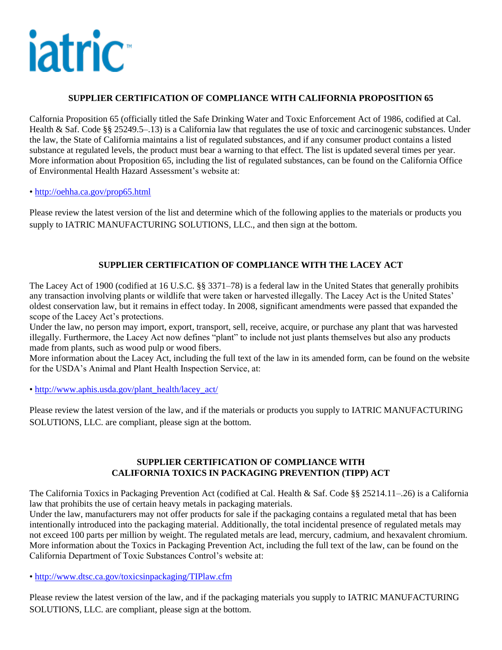

#### **SUPPLIER CERTIFICATION OF COMPLIANCE WITH CALIFORNIA PROPOSITION 65**

Calfornia Proposition 65 (officially titled the Safe Drinking Water and Toxic Enforcement Act of 1986, codified at Cal. Health & Saf. Code §§ 25249.5–.13) is a California law that regulates the use of toxic and carcinogenic substances. Under the law, the State of California maintains a list of regulated substances, and if any consumer product contains a listed substance at regulated levels, the product must bear a warning to that effect. The list is updated several times per year. More information about Proposition 65, including the list of regulated substances, can be found on the California Office of Environmental Health Hazard Assessment's website at:

•<http://oehha.ca.gov/prop65.html>

Please review the latest version of the list and determine which of the following applies to the materials or products you supply to IATRIC MANUFACTURING SOLUTIONS, LLC., and then sign at the bottom.

## **SUPPLIER CERTIFICATION OF COMPLIANCE WITH THE LACEY ACT**

The Lacey Act of 1900 (codified at 16 U.S.C. §§ 3371–78) is a federal law in the United States that generally prohibits any transaction involving plants or wildlife that were taken or harvested illegally. The Lacey Act is the United States' oldest conservation law, but it remains in effect today. In 2008, significant amendments were passed that expanded the scope of the Lacey Act's protections.

Under the law, no person may import, export, transport, sell, receive, acquire, or purchase any plant that was harvested illegally. Furthermore, the Lacey Act now defines "plant" to include not just plants themselves but also any products made from plants, such as wood pulp or wood fibers.

More information about the Lacey Act, including the full text of the law in its amended form, can be found on the website for the USDA's Animal and Plant Health Inspection Service, at:

• [http://www.aphis.usda.gov/plant\\_health/lacey\\_act/](http://www.aphis.usda.gov/plant_health/lacey_act/)

Please review the latest version of the law, and if the materials or products you supply to IATRIC MANUFACTURING SOLUTIONS, LLC. are compliant, please sign at the bottom.

#### **SUPPLIER CERTIFICATION OF COMPLIANCE WITH CALIFORNIA TOXICS IN PACKAGING PREVENTION (TIPP) ACT**

The California Toxics in Packaging Prevention Act (codified at Cal. Health & Saf. Code §§ 25214.11–.26) is a California law that prohibits the use of certain heavy metals in packaging materials.

Under the law, manufacturers may not offer products for sale if the packaging contains a regulated metal that has been intentionally introduced into the packaging material. Additionally, the total incidental presence of regulated metals may not exceed 100 parts per million by weight. The regulated metals are lead, mercury, cadmium, and hexavalent chromium. More information about the Toxics in Packaging Prevention Act, including the full text of the law, can be found on the California Department of Toxic Substances Control's website at:

•<http://www.dtsc.ca.gov/toxicsinpackaging/TIPlaw.cfm>

Please review the latest version of the law, and if the packaging materials you supply to IATRIC MANUFACTURING SOLUTIONS, LLC. are compliant, please sign at the bottom.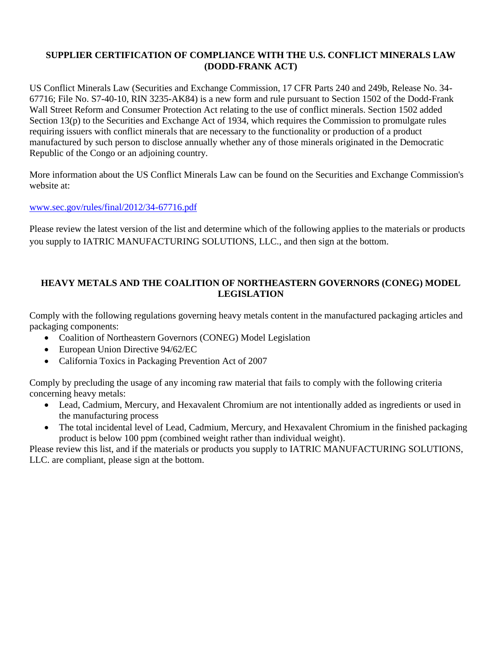# **SUPPLIER CERTIFICATION OF COMPLIANCE WITH THE U.S. CONFLICT MINERALS LAW (DODD-FRANK ACT)**

US Conflict Minerals Law (Securities and Exchange Commission, 17 CFR Parts 240 and 249b, Release No. 34- 67716; File No. S7-40-10, RIN 3235-AK84) is a new form and rule pursuant to Section 1502 of the Dodd-Frank Wall Street Reform and Consumer Protection Act relating to the use of conflict minerals. Section 1502 added Section 13(p) to the Securities and Exchange Act of 1934, which requires the Commission to promulgate rules requiring issuers with conflict minerals that are necessary to the functionality or production of a product manufactured by such person to disclose annually whether any of those minerals originated in the Democratic Republic of the Congo or an adjoining country.

More information about the US Conflict Minerals Law can be found on the Securities and Exchange Commission's website at:

### [www.sec.gov/rules/final/2012/34-67716.pdf](http://www.sec.gov/rules/final/2012/34-67716.pdf)

Please review the latest version of the list and determine which of the following applies to the materials or products you supply to IATRIC MANUFACTURING SOLUTIONS, LLC., and then sign at the bottom.

### **HEAVY METALS AND THE COALITION OF NORTHEASTERN GOVERNORS (CONEG) MODEL LEGISLATION**

Comply with the following regulations governing heavy metals content in the manufactured packaging articles and packaging components:

- Coalition of Northeastern Governors (CONEG) Model Legislation
- European Union Directive 94/62/EC
- California Toxics in Packaging Prevention Act of 2007

Comply by precluding the usage of any incoming raw material that fails to comply with the following criteria concerning heavy metals:

- Lead, Cadmium, Mercury, and Hexavalent Chromium are not intentionally added as ingredients or used in the manufacturing process
- The total incidental level of Lead, Cadmium, Mercury, and Hexavalent Chromium in the finished packaging product is below 100 ppm (combined weight rather than individual weight).

Please review this list, and if the materials or products you supply to IATRIC MANUFACTURING SOLUTIONS, LLC. are compliant, please sign at the bottom.